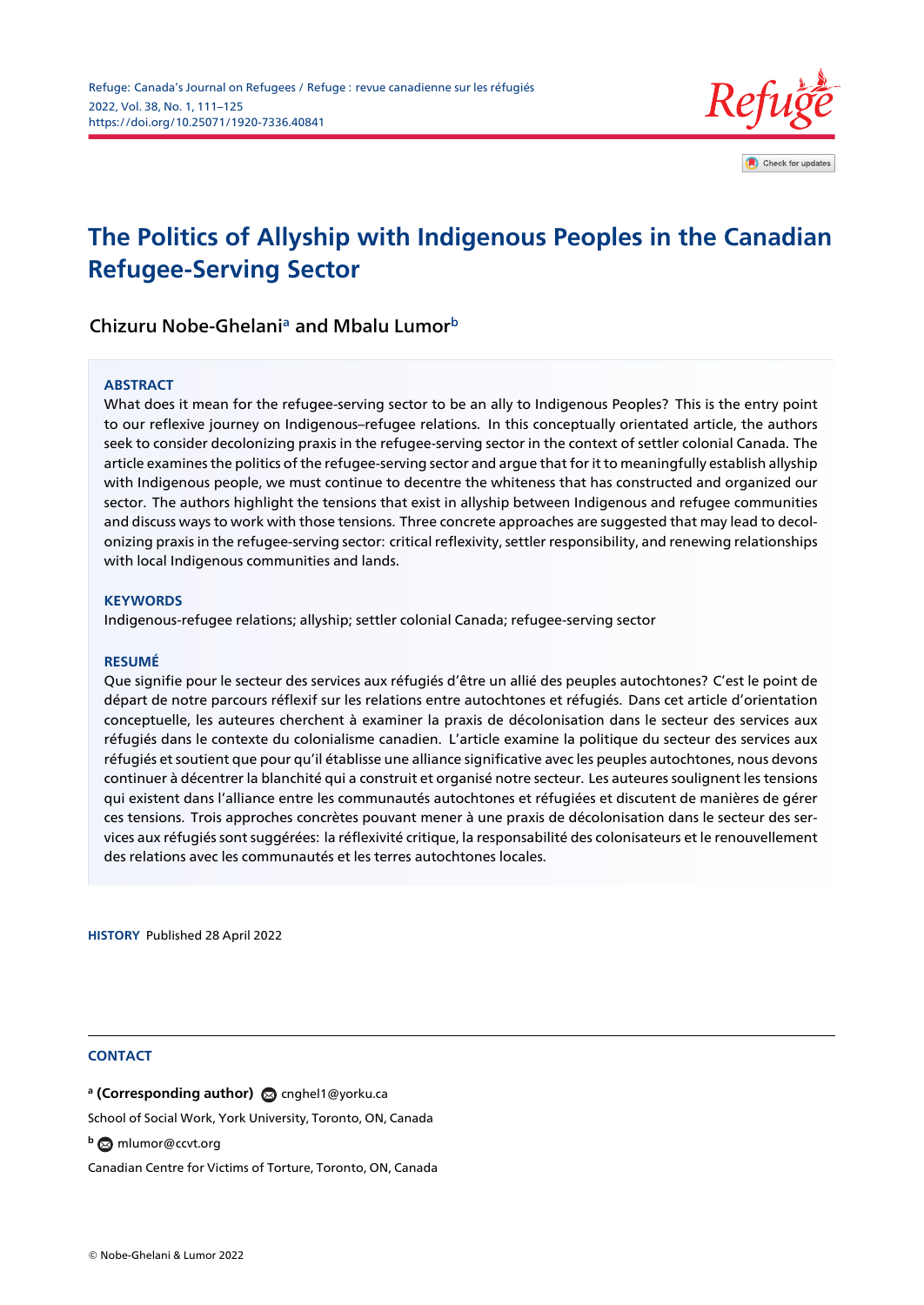

# **The Politics of Allyship with Indigenous Peoples in the [Canadian](http://crossmark.crossref.org/dialog/?doi=https://doi.org/10.25071/1920-7336.40841&domain=pdf&date_stamp=) Refugee-Serving Sector**

Chizuru Nobe-Ghelani<sup>a</sup> and Mbalu Lumor<sup>b</sup>

#### **ABSTRACT**

What does it mean for the refugee-serving sector to be an ally to Indigenous Peoples? This is the entry point to our reflexive journey on Indigenous–refugee relations. In this conceptually orientated article, the authors seek to consider decolonizing praxis in the refugee-serving sector in the context of settler colonial Canada. The article examines the politics of the refugee-serving sector and argue that for it to meaningfully establish allyship with Indigenous people, we must continue to decentre the whiteness that has constructed and organized our sector. The authors highlight the tensions that exist in allyship between Indigenous and refugee communities and discuss ways to work with those tensions. Three concrete approaches are suggested that may lead to decolonizing praxis in the refugee-serving sector: critical reflexivity, settler responsibility, and renewing relationships with local Indigenous communities and lands.

#### **KEYWORDS**

Indigenous-refugee relations; allyship; settler colonial Canada; refugee-serving sector

#### **RESUMÉ**

Que signifie pour le secteur des services aux réfugiés d'être un allié des peuples autochtones? C'est le point de départ de notre parcours réflexif sur les relations entre autochtones et réfugiés. Dans cet article d'orientation conceptuelle, les auteures cherchent à examiner la praxis de décolonisation dans le secteur des services aux réfugiés dans le contexte du colonialisme canadien. L'article examine la politique du secteur des services aux réfugiés et soutient que pour qu'il établisse une alliance significative avec les peuples autochtones, nous devons continuer à décentrer la blanchité qui a construit et organisé notre secteur. Les auteures soulignent les tensions qui existent dans l'alliance entre les communautés autochtones et réfugiées et discutent de manières de gérer ces tensions. Trois approches concrètes pouvant mener à une praxis de décolonisation dans le secteur des services aux réfugiés sont suggérées: la réflexivité critique, la responsabilité des colonisateurs et le renouvellement des relations avec les communautés et les terres autochtones locales.

**HISTORY** Published 28 April 2022

#### **CONTACT**

**a (Corresponding author)** @ cnghel1@yorku.ca

School of Social Work, York University, Toronto, ON, Canada

**<sup>b</sup>** mlumor@ccvt.org

Canadian Centre for Victims of T[orture, Toronto, ON](cnghel1@yorku.ca), Canada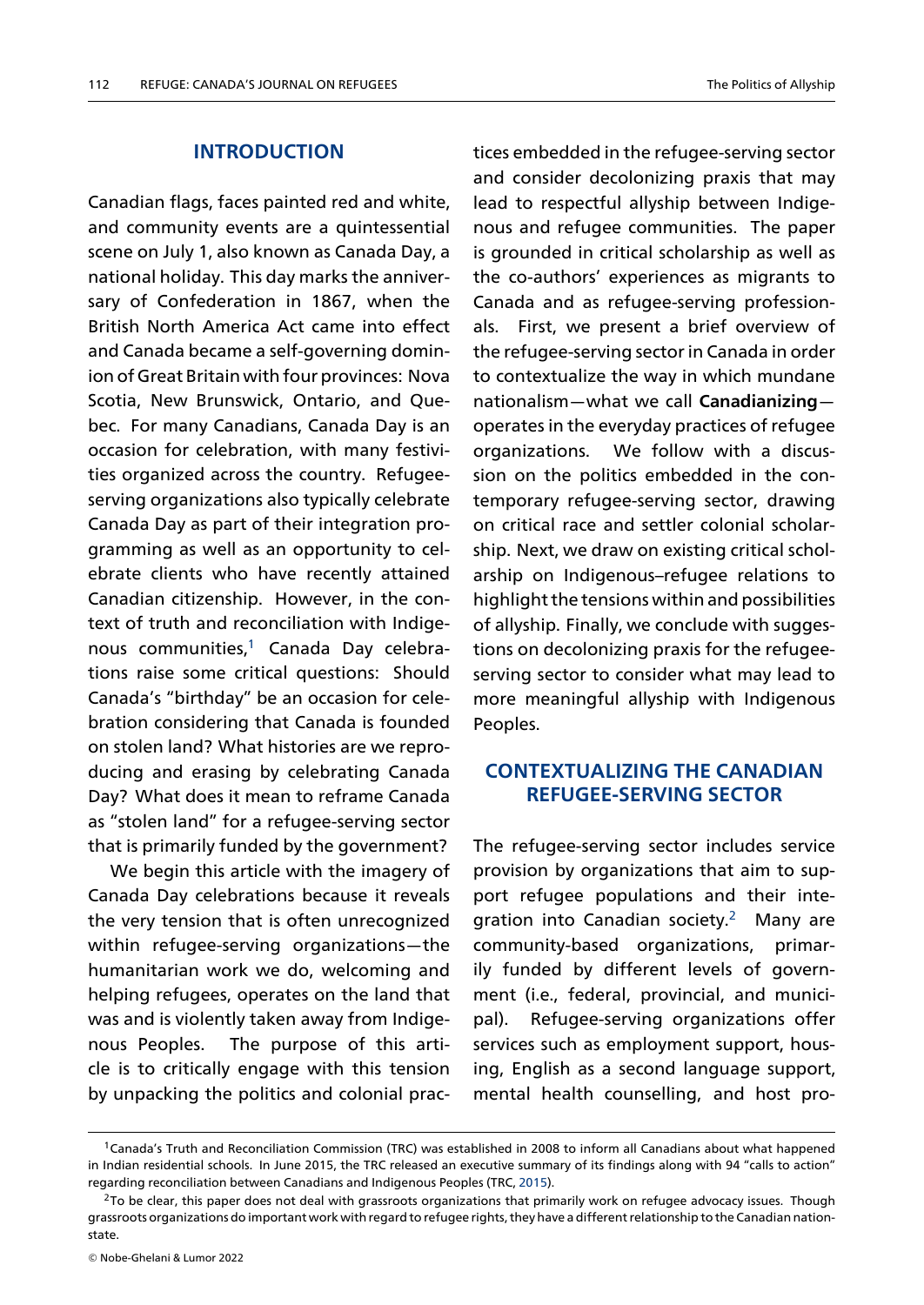### **INTRODUCTION**

Canadian flags, faces painted red and white, and community events are a quintessential scene on July 1, also known as Canada Day, a national holiday. This day marks the anniversary of Confederation in 1867, when the British North America Act came into effect and Canada became a self-governing dominion of Great Britain with four provinces: Nova Scotia, New Brunswick, Ontario, and Quebec. For many Canadians, Canada Day is an occasion for celebration, with many festivities organized across the country. Refugeeserving organizations also typically celebrate Canada Day as part of their integration programming as well as an opportunity to celebrate clients who have recently attained Canadian citizenship. However, in the context of truth and reconciliation with Indigenous communities,<sup>1</sup> Canada Day celebrations raise some critical questions: Should Canada's "birthday" be an occasion for celebration considerin[g](#page-1-0) that Canada is founded on stolen land? What histories are we reproducing and erasing by celebrating Canada Day? What does it mean to reframe Canada as "stolen land" for a refugee-serving sector that is primarily funded by the government?

We begin this article with the imagery of Canada Day celebrations because it reveals the very tension that is often unrecognized within refugee-serving organizations—the humanitarian work we do, welcoming and helping refugees, operates on the land that was and is violently taken away from Indigenous Peoples. The purpose of this article is to critically engage with this tension by unpacking the politics and colonial practices embedded in the refugee-serving sector and consider decolonizing praxis that may lead to respectful allyship between Indigenous and refugee communities. The paper is grounded in critical scholarship as well as the co-authors' experiences as migrants to Canada and as refugee-serving professionals. First, we present a brief overview of the refugee-serving sector in Canada in order to contextualize the way in which mundane nationalism—what we call **Canadianizing** operates in the everyday practices of refugee organizations. We follow with a discussion on the politics embedded in the contemporary refugee-serving sector, drawing on critical race and settler colonial scholarship. Next, we draw on existing critical scholarship on Indigenous–refugee relations to highlight the tensions within and possibilities of allyship. Finally, we conclude with suggestions on decolonizing praxis for the refugeeserving sector to consider what may lead to more meaningful allyship with Indigenous Peoples.

### **CONTEXTUALIZING THE CANADIAN REFUGEE-SERVING SECTOR**

The refugee-serving sector includes service provision by organizations that aim to support refugee populations and their integration into Canadian society.<sup>2</sup> Many are community-based organizations, primarily funded by different levels of government (i.e., federal, provincial, [a](#page-1-1)nd municipal). Refugee-serving organizations offer services such as employment support, housing, English as a second language support, mental health counselling, and host pro-

 $1$ Canada's Truth and Reconciliation Commission (TRC) was established in 2008 to inform all Canadians about what happened in Indian residential schools. In June 2015, the TRC released an executive summary of its findings along with 94 "calls to action" regarding reconciliation between Canadians and Indigenous Peoples (TRC, 2015).

<span id="page-1-1"></span><span id="page-1-0"></span> $2$ To be clear, this paper does not deal with grassroots organizations that primarily work on refugee advocacy issues. Though grassroots organizations do important work with regard to refugee rights, they have a different relationship to the Canadian nationstate.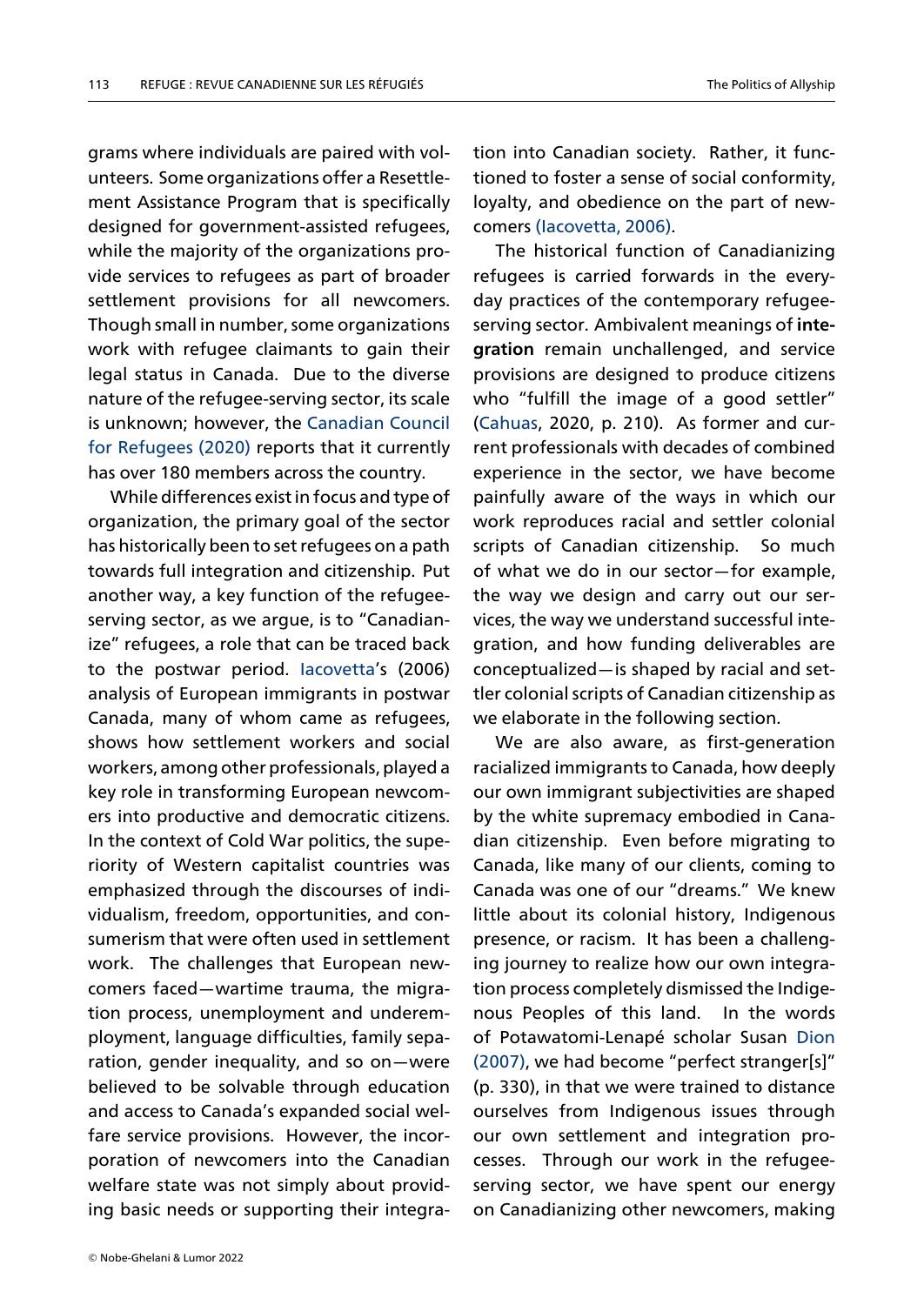grams where individuals are paired with volunteers. Some organizations offer a Resettlement Assistance Program that is specifically designed for government-assisted refugees, while the majority of the organizations provide services to refugees as part of broader settlement provisions for all newcomers. Though small in number, some organizations work with refugee claimants to gain their legal status in Canada. Due to the diverse nature of the refugee-serving sector, its scale is unknown; however, the Canadian Council for Refugees (2020) reports that it currently has over 180 members across the country.

While differences exist i[n focus and type of](#page-13-0) [organization](#page-13-0), [the p](#page-13-0)rimary goal of the sector has historically been to set refugees on a path towards full integration and citizenship. Put another way, a key function of the refugeeserving sector, as we argue, is to "Canadianize" refugees, a role that can be traced back to the postwar period. Iacovetta's (2006) analysis of European immigrants in postwar Canada, many of whom came as refugees, shows how settlement [workers an](#page-13-1)d social workers, among other professionals, played a key role in transforming European newcomers into productive and democratic citizens. In the context of Cold War politics, the superiority of Western capitalist countries was emphasized through the discourses of individualism, freedom, opportunities, and consumerism that were often used in settlement work. The challenges that European newcomers faced—wartime trauma, the migration process, unemployment and underemployment, language difficulties, family separation, gender inequality, and so on—were believed to be solvable through education and access to Canada's expanded social welfare service provisions. However, the incorporation of newcomers into the Canadian welfare state was not simply about providing basic needs or supporting their integra-

The historical function of Canadianizing refugees is carried forwards in the everyday pra[ctices of the con](#page-13-1)temporary refugeeserving sector. Ambivalent meanings of **integration** remain unchallenged, and service provisions are designed to produce citizens who "fulfill the image of a good settler" (Cahuas, 2020, p. 210). As former and current professionals with decades of combined experience in the sector, we have become [painfully](#page-13-2) aware of the ways in which our work reproduces racial and settler colonial scripts of Canadian citizenship. So much of what we do in our sector—for example, the way we design and carry out our services, the way we understand successful integration, and how funding deliverables are conceptualized—is shaped by racial and settler colonial scripts of Canadian citizenship as we elaborate in the following section.

We are also aware, as first-generation racialized immigrants to Canada, how deeply our own immigrant subjectivities are shaped by the white supremacy embodied in Canadian citizenship. Even before migrating to Canada, like many of our clients, coming to Canada was one of our "dreams." We knew little about its colonial history, Indigenous presence, or racism. It has been a challenging journey to realize how our own integration process completely dismissed the Indigenous Peoples of this land. In the words of Potawatomi-Lenapé scholar Susan Dion (2007), we had become "perfect stranger[s]" (p. 330), in that we were trained to distance ourselves from Indigenous issues thr[ough](#page-13-3) [our o](#page-13-3)wn settlement and integration processes. Through our work in the refugeeserving sector, we have spent our energy on Canadianizing other newcomers, making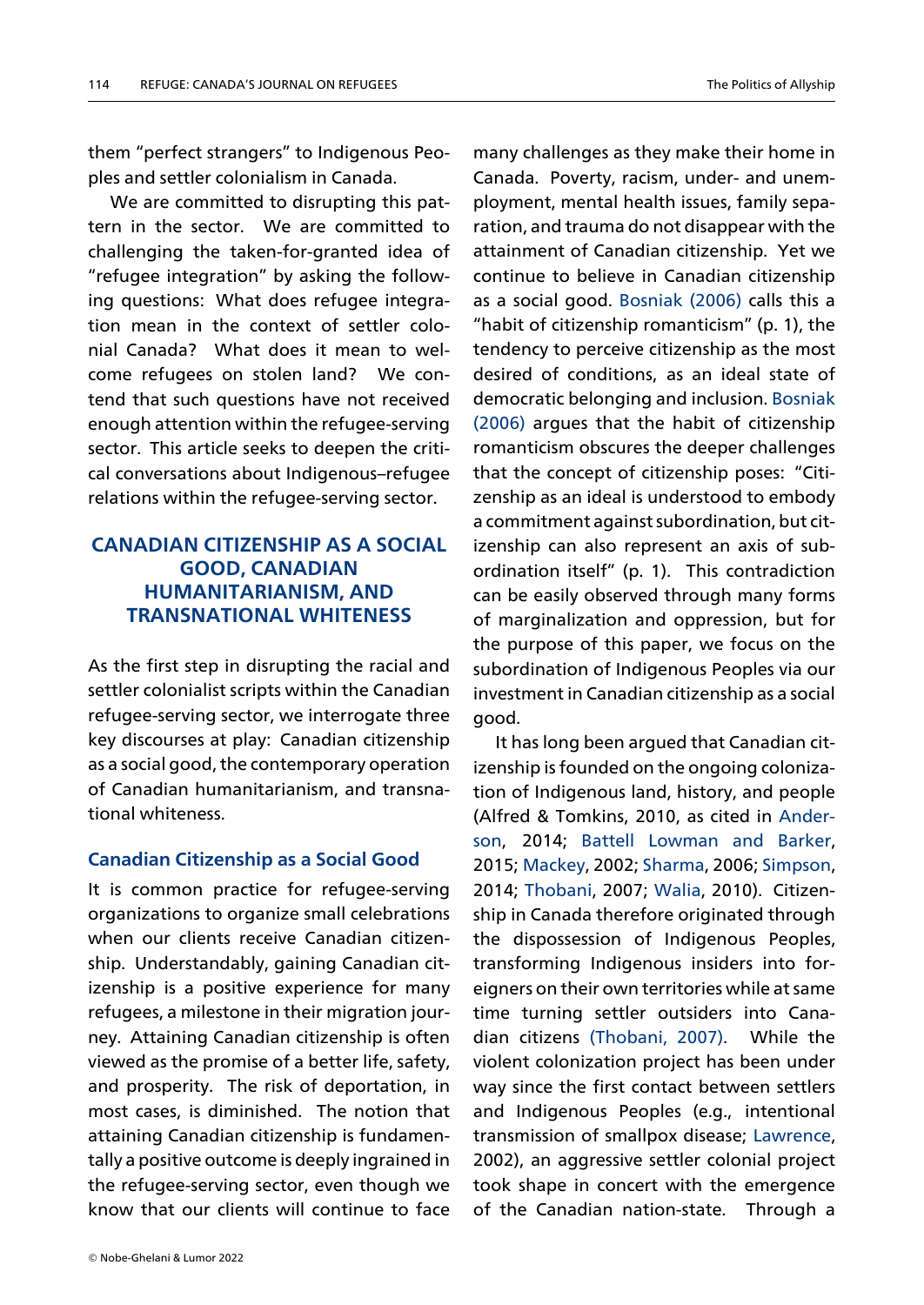them "perfect strangers" to Indigenous Peoples and settler colonialism in Canada.

We are committed to disrupting this pattern in the sector. We are committed to challenging the taken-for-granted idea of "refugee integration" by asking the following questions: What does refugee integration mean in the context of settler colonial Canada? What does it mean to welcome refugees on stolen land? We contend that such questions have not received enough attention within the refugee-serving sector. This article seeks to deepen the critical conversations about Indigenous–refugee relations within the refugee-serving sector.

# **CANADIAN CITIZENSHIP AS A SOCIAL GOOD, CANADIAN HUMANITARIANISM, AND TRANSNATIONAL WHITENESS**

As the first step in disrupting the racial and settler colonialist scripts within the Canadian refugee-serving sector, we interrogate three key discourses at play: Canadian citizenship as a social good, the contemporary operation of Canadian humanitarianism, and transnational whiteness.

### **Canadian Citizenship as a Social Good**

It is common practice for refugee-serving organizations to organize small celebrations when our clients receive Canadian citizenship. Understandably, gaining Canadian citizenship is a positive experience for many refugees, a milestone in their migration journey. Attaining Canadian citizenship is often viewed as the promise of a better life, safety, and prosperity. The risk of deportation, in most cases, is diminished. The notion that attaining Canadian citizenship is fundamentally a positive outcome is deeply ingrained in the refugee-serving sector, even though we know that our clients will continue to face

many challenges as they make their home in Canada. Poverty, racism, under- and unemployment, mental health issues, family separation, and trauma do not disappear with the attainment of Canadian citizenship. Yet we continue to believe in Canadian citizenship as a social good. Bosniak (2006) calls this a "habit of citizenship romanticism" (p. 1), the tendency to perceive citizenship as the most desired of condi[tions, as an id](#page-13-4)eal state of democratic belonging and inclusion. Bosniak (2006) argues that the habit of citizenship romanticism obscures the deeper challenges that the concept of citizenship pos[es: "Citi](#page-13-4)[zensh](#page-13-4)ip as an ideal is understood to embody a commitment against subordination, but citizenship can also represent an axis of subordination itself" (p. 1). This contradiction can be easily observed through many forms of marginalization and oppression, but for the purpose of this paper, we focus on the subordination of Indigenous Peoples via our investment in Canadian citizenship as a social good.

It has long been argued that Canadian citizenship is founded on the ongoing colonization of Indigenous land, history, and people (Alfred & Tomkins, 2010, as cited in Anderson, 2014; Battell Lowman and Barker, 2015; Mackey, 2002; Sharma, 2006; Simpson, 2014; Thobani, 2007; Walia, 2010). [Citizen](#page-13-5)[ship](#page-13-5) in Cana[da therefore originated through](#page-13-6) the [disposses](#page-14-0)sion [of Indig](#page-14-1)enous [Peoples](#page-14-2), transf[orming I](#page-14-3)ndigen[ous in](#page-14-4)siders into foreigners on their own territories while at same time turning settler outsiders into Canadian citizens (Thobani, 2007). While the violent colonization project has been under way since the first contact between settlers and Indigeno[us Peopl](#page-14-3)e[s \(e.g](#page-14-3)., intentional transmission of smallpox disease; Lawrence, 2002), an aggressive settler colonial project took shape in concert with the emergence of the Canadian nation-state. [Through a](#page-14-5)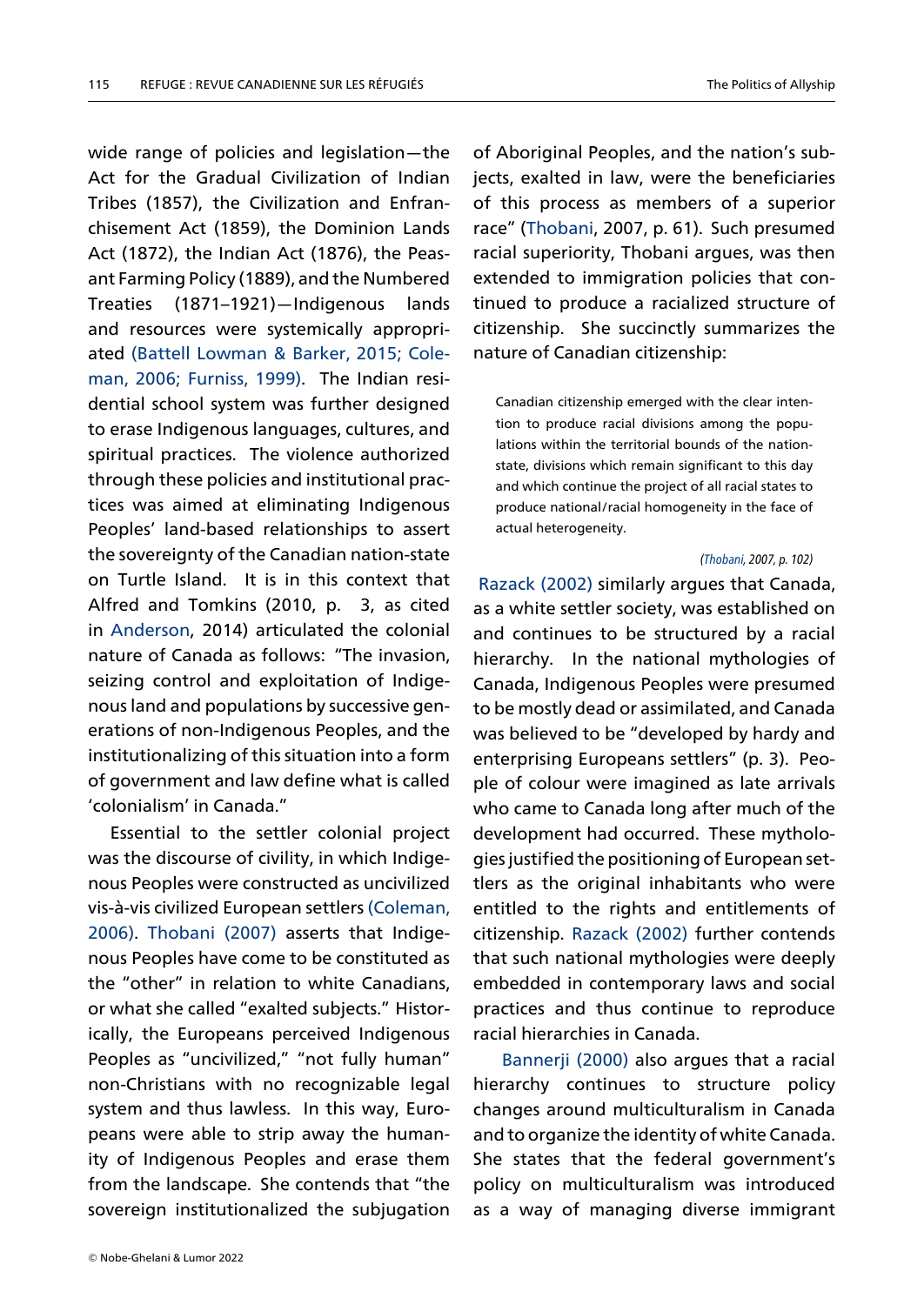wide range of policies and legislation—the Act for the Gradual Civilization of Indian Tribes (1857), the Civilization and Enfranchisement Act (1859), the Dominion Lands Act (1872), the Indian Act (1876), the Peasant Farming Policy (1889), and the Numbered Treaties (1871–1921)—Indigenous lands and resources were systemically appropriated (Battell Lowman & Barker, 2015; Coleman, 2006; Furniss, 1999). The Indian residential school system was further designed to era[se Indigenous languages, culture](#page-13-6)[s, and](#page-13-7) [spiritual pr](#page-13-7)[actices. The vi](#page-13-8)olence authorized through these policies and institutional practices was aimed at eliminating Indigenous Peoples' land-based relationships to assert the sovereignty of the Canadian nation-state on Turtle Island. It is in this context that Alfred and Tomkins (2010, p. 3, as cited in Anderson, 2014) articulated the colonial nature of Canada as follows: "The invasion, seizing control and exploitation of Indigeno[us land an](#page-13-5)d populations by successive generations of non-Indigenous Peoples, and the institutionalizing of this situation into a form of government and law define what is called 'colonialism' in Canada."

Essential to the settler colonial project was the discourse of civility, in which Indigenous Peoples were constructed as uncivilized vis-à-vis civilized European settlers (Coleman, 2006). Thobani (2007) asserts that Indigenous Peoples have come to be constituted as the "other" in relation to white C[anadians,](#page-13-7) [or wh](#page-13-7)a[t she called "exa](#page-14-3)lted subjects." Historically, the Europeans perceived Indigenous Peoples as "uncivilized," "not fully human" non-Christians with no recognizable legal system and thus lawless. In this way, Europeans were able to strip away the humanity of Indigenous Peoples and erase them from the landscape. She contends that "the sovereign institutionalized the subjugation

of Aboriginal Peoples, and the nation's subjects, exalted in law, were the beneficiaries of this process as members of a superior race" (Thobani, 2007, p. 61). Such presumed racial superiority, Thobani argues, was then extended to immigration policies that continue[d to prod](#page-14-3)uce a racialized structure of citizenship. She succinctly summarizes the nature of Canadian citizenship:

Canadian citizenship emerged with the clear intention to produce racial divisions among the populations within the territorial bounds of the nationstate, divisions which remain significant to this day and which continue the project of all racial states to produce national/racial homogeneity in the face of actual heterogeneity.

#### *(Thobani, 2007, p. 102)*

Razack (2002) similarly argues that Canada, as a white settler society, was established on and continues to be struct[ured](#page-14-3) by a racial [hierarchy. In](#page-14-6) the national mythologies of Canada, Indigenous Peoples were presumed to be mostly dead or assimilated, and Canada was believed to be "developed by hardy and enterprising Europeans settlers" (p. 3). People of colour were imagined as late arrivals who came to Canada long after much of the development had occurred. These mythologies justified the positioning of European settlers as the original inhabitants who were entitled to the rights and entitlements of citizenship. Razack (2002) further contends that such national mythologies were deeply embedded in contemporary laws and social practices a[nd thus conti](#page-14-6)nue to reproduce racial hierarchies in Canada.

Bannerji (2000) also argues that a racial hierarchy continues to structure policy changes around multiculturalism in Canada an[d to organ](#page-13-9)i[ze the](#page-13-9) identity of white Canada. She states that the federal government's policy on multiculturalism was introduced as a way of managing diverse immigrant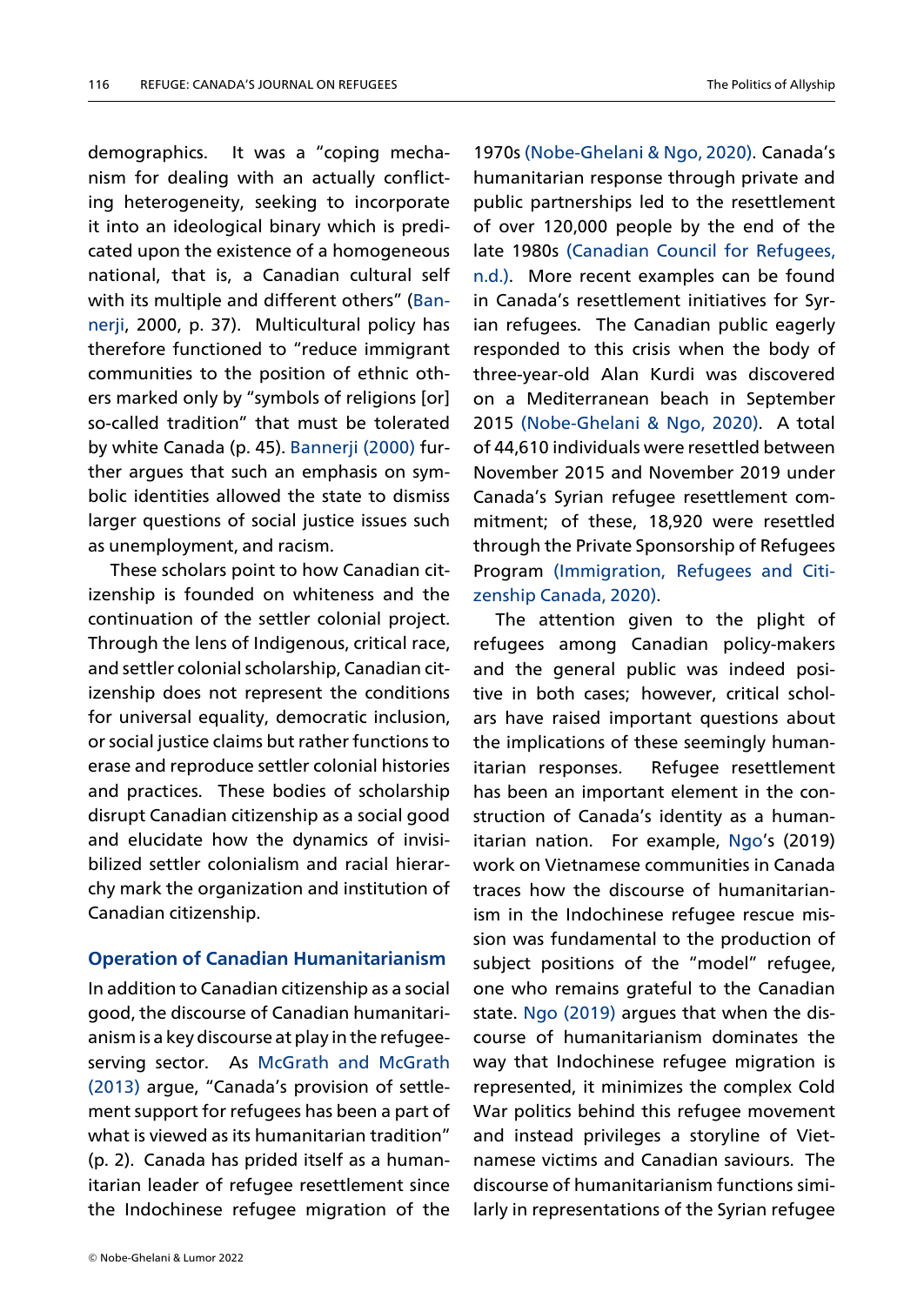demographics. It was a "coping mechanism for dealing with an actually conflicting heterogeneity, seeking to incorporate it into an ideological binary which is predicated upon the existence of a homogeneous national, that is, a Canadian cultural self with its multiple and different others" (Bannerji, 2000, p. 37). Multicultural policy has therefore functioned to "reduce immigrant communities to the position of ethnic [oth](#page-13-9)[ers m](#page-13-9)arked only by "symbols of religions [or] so-called tradition" that must be tolerated by white Canada (p. 45). Bannerji (2000) further argues that such an emphasis on symbolic identities allowed the state to dismiss larger questions of soci[al justice](#page-13-9) i[ssues](#page-13-9) such as unemployment, and racism.

These scholars point to how Canadian citizenship is founded on whiteness and the continuation of the settler colonial project. Through the lens of Indigenous, critical race, and settler colonial scholarship, Canadian citizenship does not represent the conditions for universal equality, democratic inclusion, or social justice claims but rather functions to erase and reproduce settler colonial histories and practices. These bodies of scholarship disrupt Canadian citizenship as a social good and elucidate how the dynamics of invisibilized settler colonialism and racial hierarchy mark the organization and institution of Canadian citizenship.

#### **Operation of Canadian Humanitarianism**

In addition to Canadian citizenship as a social good, the discourse of Canadian humanitarianism is a key discourse at play in the refugeeserving sector. As McGrath and McGrath (2013) argue, "Canada's provision of settlement support for refugees has been a part of what is viewed as its [humanitarian tradition"](#page-14-7) [\(p. 2\).](#page-14-7) Canada has prided itself as a humanitarian leader of refugee resettlement since the Indochinese refugee migration of the

humanitarian response through private and public partnerships led to the resettlement of ove[r 120,000 people by the e](#page-14-8)nd of the late 1980s (Canadian Council for Refugees, n.d.). More recent examples can be found in Canada's resettlement initiatives for Syrian refugee[s. The Canadian public eagerly](#page-13-10) [resp](#page-13-10)onded to this crisis when the body of three-year-old Alan Kurdi was discovered on a Mediterranean beach in September 2015 (Nobe-Ghelani & Ngo, 2020). A total of 44,610 individuals were resettled between November 2015 and November 2019 under Canad[a's Syrian refugee resettlem](#page-14-8)ent commitment; of these, 18,920 were resettled through the Private Sponsorship of Refugees Program (Immigration, Refugees and Citizenship Canada, 2020).

1970s (Nobe-Ghelani & Ngo, 2020). Canada's

The attention given to the plight of refugees [among Canadian policy-makers](#page-13-11) [and the general pub](#page-13-11)lic was indeed positive in both cases; however, critical scholars have raised important questions about the implications of these seemingly humanitarian responses. Refugee resettlement has been an important element in the construction of Canada's identity as a humanitarian nation. For example, Ngo's (2019) work on Vietnamese communities in Canada traces how the discourse of humanitarianism in the Indochinese refuge[e res](#page-14-9)cue mission was fundamental to the production of subject positions of the "model" refugee, one who remains grateful to the Canadian state. Ngo (2019) argues that when the discourse of humanitarianism dominates the way that Indochinese refugee migration is repre[sented, it m](#page-14-9)inimizes the complex Cold War politics behind this refugee movement and instead privileges a storyline of Vietnamese victims and Canadian saviours. The discourse of humanitarianism functions similarly in representations of the Syrian refugee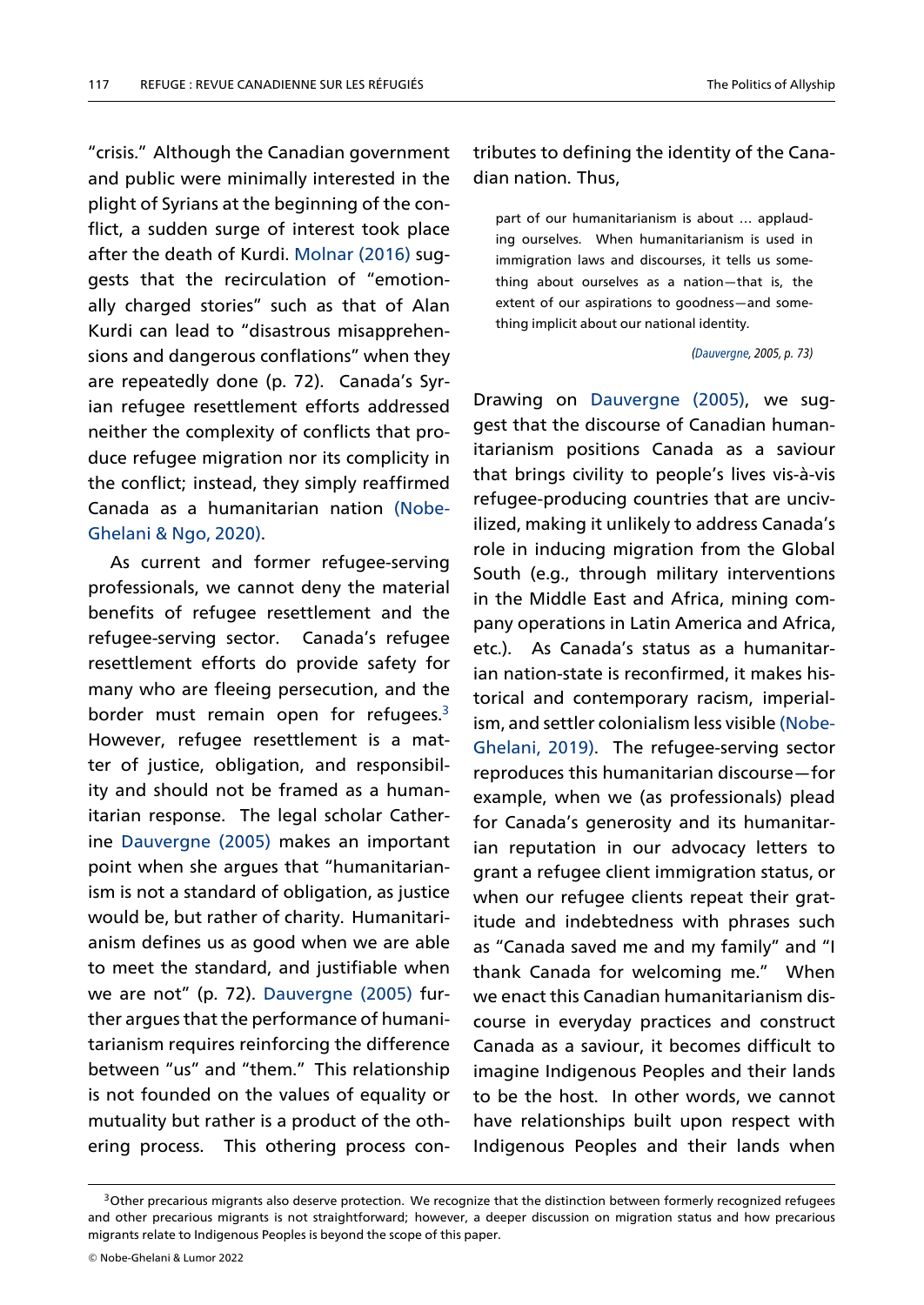"crisis." Although the Canadian government and public were minimally interested in the plight of Syrians at the beginning of the conflict, a sudden surge of interest took place after the death of Kurdi. Molnar (2016) suggests that the recirculation of "emotionally charged stories" such as that of Alan Kurdi can lead to "disas[trous misappre](#page-14-10)hensions and dangerous conflations" when they are repeatedly done (p. 72). Canada's Syrian refugee resettlement efforts addressed neither the complexity of conflicts that produce refugee migration nor its complicity in the conflict; instead, they simply reaffirmed Canada as a humanitarian nation (Nobe-Ghelani & Ngo, 2020).

As current and former refugee-serving professionals, we cannot deny the m[aterial](#page-14-8) [benefits of refugee](#page-14-8) resettlement and the refugee-serving sector. Canada's refugee resettlement efforts do provide safety for many who are fleeing persecution, and the border must remain open for refugees. $3$ However, refugee resettlement is a matter of justice, obligation, and responsibility and should not be framed as a huma[n](#page-6-0)itarian response. The legal scholar Catherine Dauvergne (2005) makes an important point when she argues that "humanitarianism is not a standard of obligation, as justice wo[uld be, but r](#page-13-12)a[ther o](#page-13-12)f charity. Humanitarianism defines us as good when we are able to meet the standard, and justifiable when we are not" (p. 72). Dauvergne (2005) further argues that the performance of humanitarianism requires reinforcing the difference between "us" and "t[hem." This relation](#page-13-12)ship is not founded on the values of equality or mutuality but rather is a product of the othering process. This othering process con-

# tributes to defining the identity of the Canadian nation. Thus,

part of our humanitarianism is about … applauding ourselves. When humanitarianism is used in immigration laws and discourses, it tells us something about ourselves as a nation—that is, the extent of our aspirations to goodness—and something implicit about our national identity.

### *(Dauvergne, 2005, p. 73)*

Drawing on Dauvergne (2005), we suggest that the discourse of [Canadia](#page-13-12)n humanitarianism positions Canada as a saviour that brings ci[vility to peo](#page-13-12)p[le's li](#page-13-12)ves vis-à-vis refugee-producing countries that are uncivilized, making it unlikely to address Canada's role in inducing migration from the Global South (e.g., through military interventions in the Middle East and Africa, mining company operations in Latin America and Africa, etc.). As Canada's status as a humanitarian nation-state is reconfirmed, it makes historical and contemporary racism, imperialism, and settler colonialism less visible (Nobe-Ghelani, 2019). The refugee-serving sector reproduces this humanitarian discourse—for example, when we (as professionals) [plead](#page-14-11) [for Canada's g](#page-14-11)enerosity and its humanitarian reputation in our advocacy letters to grant a refugee client immigration status, or when our refugee clients repeat their gratitude and indebtedness with phrases such as "Canada saved me and my family" and "I thank Canada for welcoming me." When we enact this Canadian humanitarianism discourse in everyday practices and construct Canada as a saviour, it becomes difficult to imagine Indigenous Peoples and their lands to be the host. In other words, we cannot have relationships built upon respect with Indigenous Peoples and their lands when

<span id="page-6-0"></span><sup>&</sup>lt;sup>3</sup>Other precarious migrants also deserve protection. We recognize that the distinction between formerly recognized refugees and other precarious migrants is not straightforward; however, a deeper discussion on migration status and how precarious migrants relate to Indigenous Peoples is beyond the scope of this paper.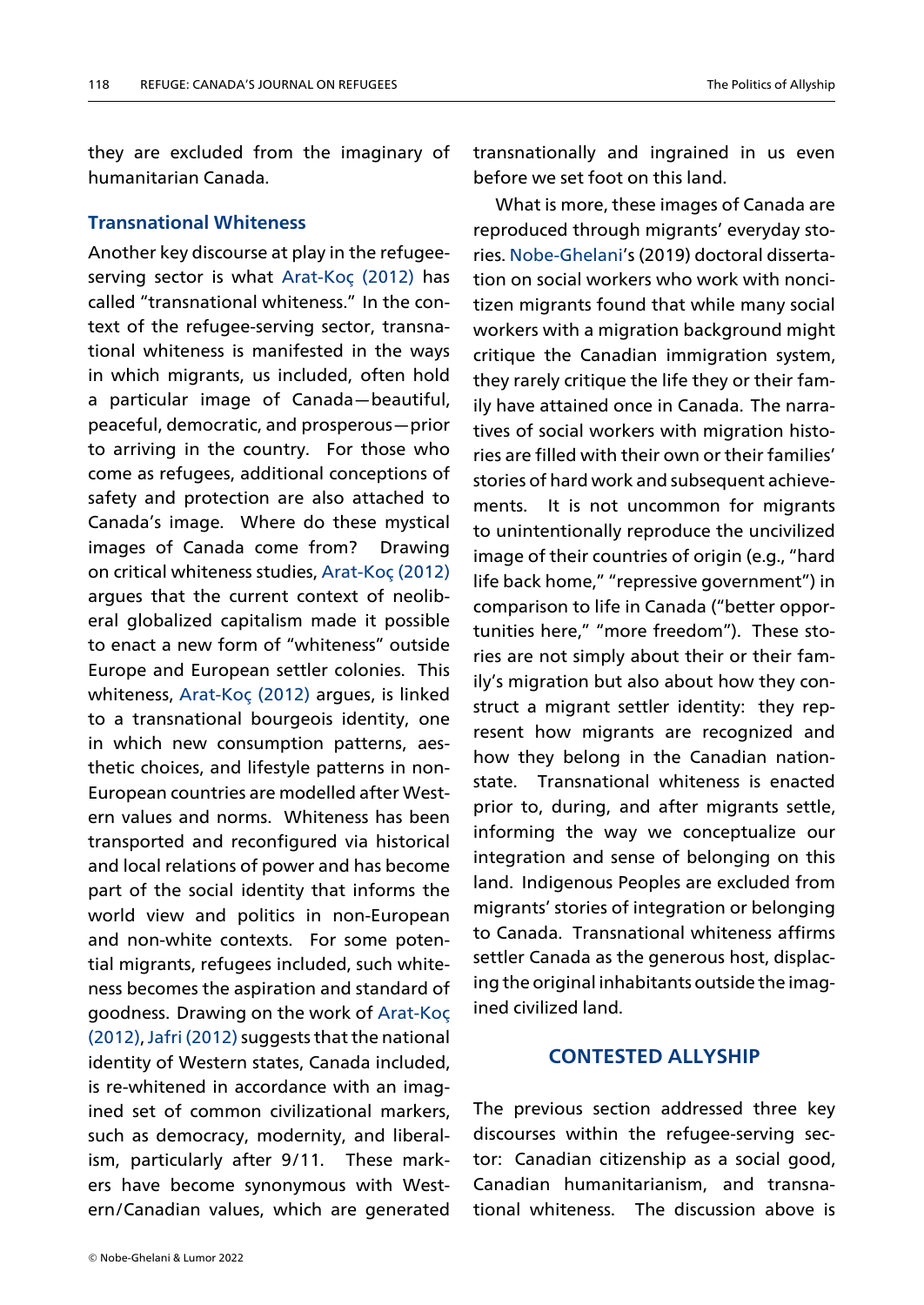they are excluded from the imaginary of humanitarian Canada.

## **Transnational Whiteness**

Another key discourse at play in the refugeeserving sector is what Arat-Koç (2012) has called "transnational whiteness." In the context of the refugee-serving sector, transnational whiteness is ma[nifested i](#page-13-13)n [the](#page-13-13) ways in which migrants, us included, often hold a particular image of Canada—beautiful, peaceful, democratic, and prosperous—prior to arriving in the country. For those who come as refugees, additional conceptions of safety and protection are also attached to Canada's image. Where do these mystical images of Canada come from? Drawing on critical whiteness studies, Arat-Koç (2012) argues that the current context of neoliberal globalized capitalism made it possible to enact a new form of "wh[iteness" outside](#page-13-13) Europe and European settler colonies. This whiteness, Arat-Koç (2012) argues, is linked to a transnational bourgeois identity, one in which new consumption patterns, aesthetic choi[ces, and l](#page-13-13)if[estyle](#page-13-13) patterns in non-European countries are modelled after Western values and norms. Whiteness has been transported and reconfigured via historical and local relations of power and has become part of the social identity that informs the world view and politics in non-European and non-white contexts. For some potential migrants, refugees included, such whiteness becomes the aspiration and standard of goodness. Drawing on the work of Arat-Koç (2012),Jafri (2012) suggests that the national identity of Western states, Canada included, is re-whitened in accordance with [an imag](#page-13-13)i[ned s](#page-13-13)[et of comm](#page-14-12)on civilizational markers, such as democracy, modernity, and liberalism, particularly after 9/11. These markers have become synonymous with Western/Canadian values, which are generated

transnationally and ingrained in us even before we set foot on this land.

What is more, these images of Canada are reproduced through migrants' everyday stories. Nobe-Ghelani's (2019) doctoral dissertation on social workers who work with noncitizen migrants found that while many social wor[kers with a mig](#page-14-11)ration background might critique the Canadian immigration system, they rarely critique the life they or their family have attained once in Canada. The narratives of social workers with migration histories are filled with their own or their families' stories of hard work and subsequent achievements. It is not uncommon for migrants to unintentionally reproduce the uncivilized image of their countries of origin (e.g., "hard life back home," "repressive government") in comparison to life in Canada ("better opportunities here," "more freedom"). These stories are not simply about their or their family's migration but also about how they construct a migrant settler identity: they represent how migrants are recognized and how they belong in the Canadian nationstate. Transnational whiteness is enacted prior to, during, and after migrants settle, informing the way we conceptualize our integration and sense of belonging on this land. Indigenous Peoples are excluded from migrants' stories of integration or belonging to Canada. Transnational whiteness affirms settler Canada as the generous host, displacing the original inhabitants outside the imagined civilized land.

# **CONTESTED ALLYSHIP**

The previous section addressed three key discourses within the refugee-serving sector: Canadian citizenship as a social good, Canadian humanitarianism, and transnational whiteness. The discussion above is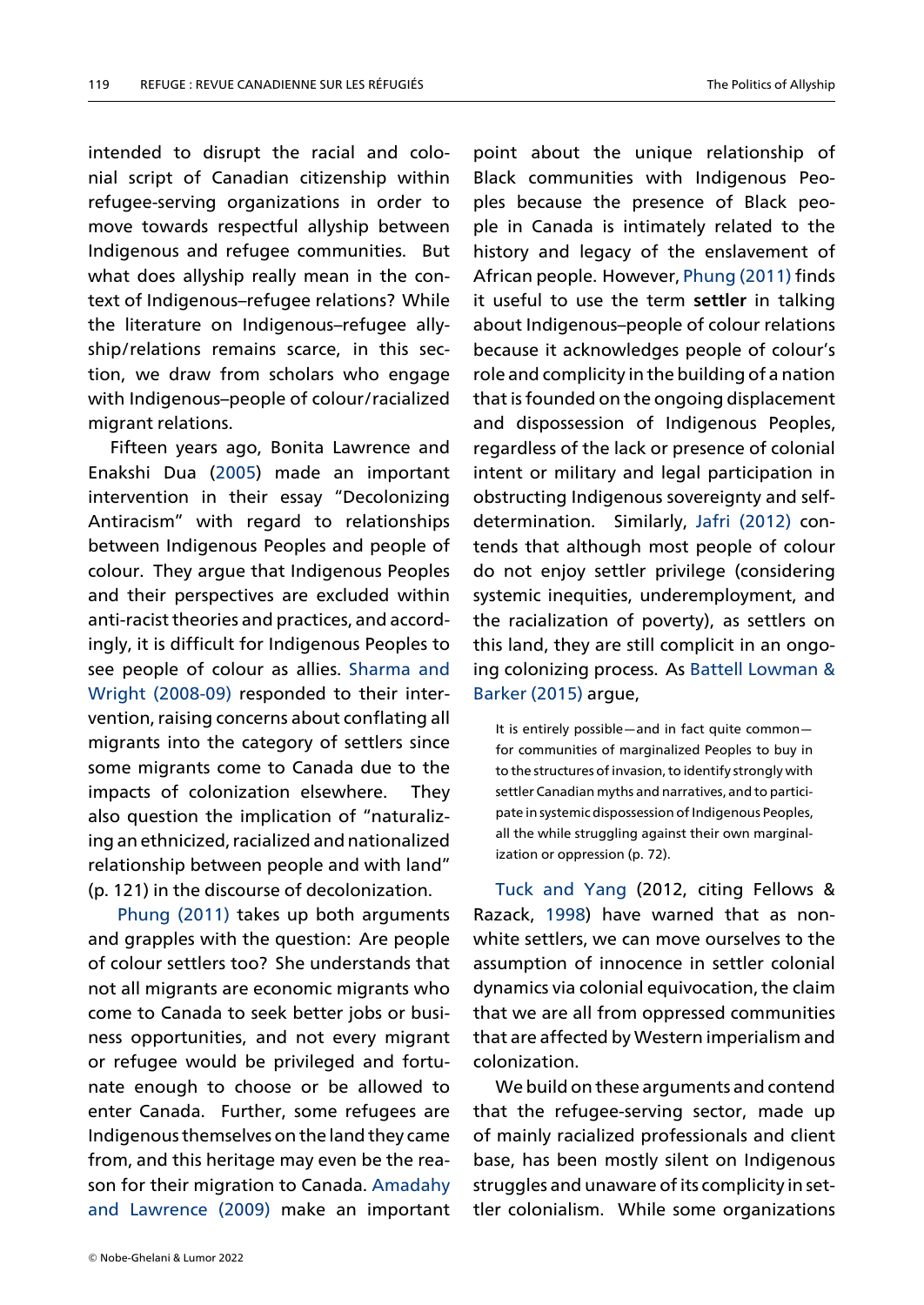intended to disrupt the racial and colonial script of Canadian citizenship within refugee-serving organizations in order to move towards respectful allyship between Indigenous and refugee communities. But what does allyship really mean in the context of Indigenous–refugee relations? While the literature on Indigenous–refugee allyship/relations remains scarce, in this section, we draw from scholars who engage with Indigenous–people of colour/racialized migrant relations.

Fifteen years ago, Bonita Lawrence and Enakshi Dua (2005) made an important intervention in their essay "Decolonizing Antiracism" with regard to relationships between Indig[enous](#page-14-13) Peoples and people of colour. They argue that Indigenous Peoples and their perspectives are excluded within anti-racist theories and practices, and accordingly, it is difficult for Indigenous Peoples to see people of colour as allies. Sharma and Wright (2008-09) responded to their intervention, raising concerns about conflating all migrants into the category of [settlers since](#page-14-14) [some m](#page-14-14)i[grants co](#page-14-14)me to Canada due to the impacts of colonization elsewhere. They also question the implication of "naturalizing an ethnicized, racialized and nationalized relationship between people and with land" (p. 121) in the discourse of decolonization.

Phung (2011) takes up both arguments and grapples with the question: Are people of colour settlers too? She understands that not [all migrants a](#page-14-15)re economic migrants who come to Canada to seek better jobs or business opportunities, and not every migrant or refugee would be privileged and fortunate enough to choose or be allowed to enter Canada. Further, some refugees are Indigenous themselves on the land they came from, and this heritage may even be the reason for their migration to Canada. Amadahy and Lawrence (2009) make an important

point about the unique relationship of Black communities with Indigenous Peoples because the presence of Black people in Canada is intimately related to the history and legacy of the enslavement of African people. However, Phung (2011) finds it useful to use the term **settler** in talking about Indigenous–people of colour relations because it acknowledges [people of co](#page-14-15)lour's role and complicity in the building of a nation that is founded on the ongoing displacement and dispossession of Indigenous Peoples, regardless of the lack or presence of colonial intent or military and legal participation in obstructing Indigenous sovereignty and selfdetermination. Similarly, Jafri (2012) contends that although most people of colour do not enjoy settler privilege (considering systemic inequities, under[employment](#page-14-12), and the racialization of poverty), as settlers on this land, they are still complicit in an ongoing colonizing process. As Battell Lowman & Barker (2015) argue,

It is entirely possible—and in fact quite common for communities of marginaliz[ed Peoples to buy in](#page-13-6) [to the structur](#page-13-6)es of invasion, to identify strongly with settler Canadian myths and narratives, and to participate in systemic dispossession of Indigenous Peoples, all the while struggling against their own marginalization or oppression (p. 72).

Tuck and Yang (2012, citing Fellows & Razack, 1998) have warned that as nonwhite settlers, we can move ourselves to the as[sumption of inno](#page-14-16)cence in settler colonial dynamic[s via c](#page-13-14)olonial equivocation, the claim that we are all from oppressed communities that are affected by Western imperialism and colonization.

We build on these arguments and contend that the refugee-serving sector, made up of mainly racialized professionals and client base, has been mostly silent on Indigenous struggles and unaware of its complicity in settler colonialism. While some organizations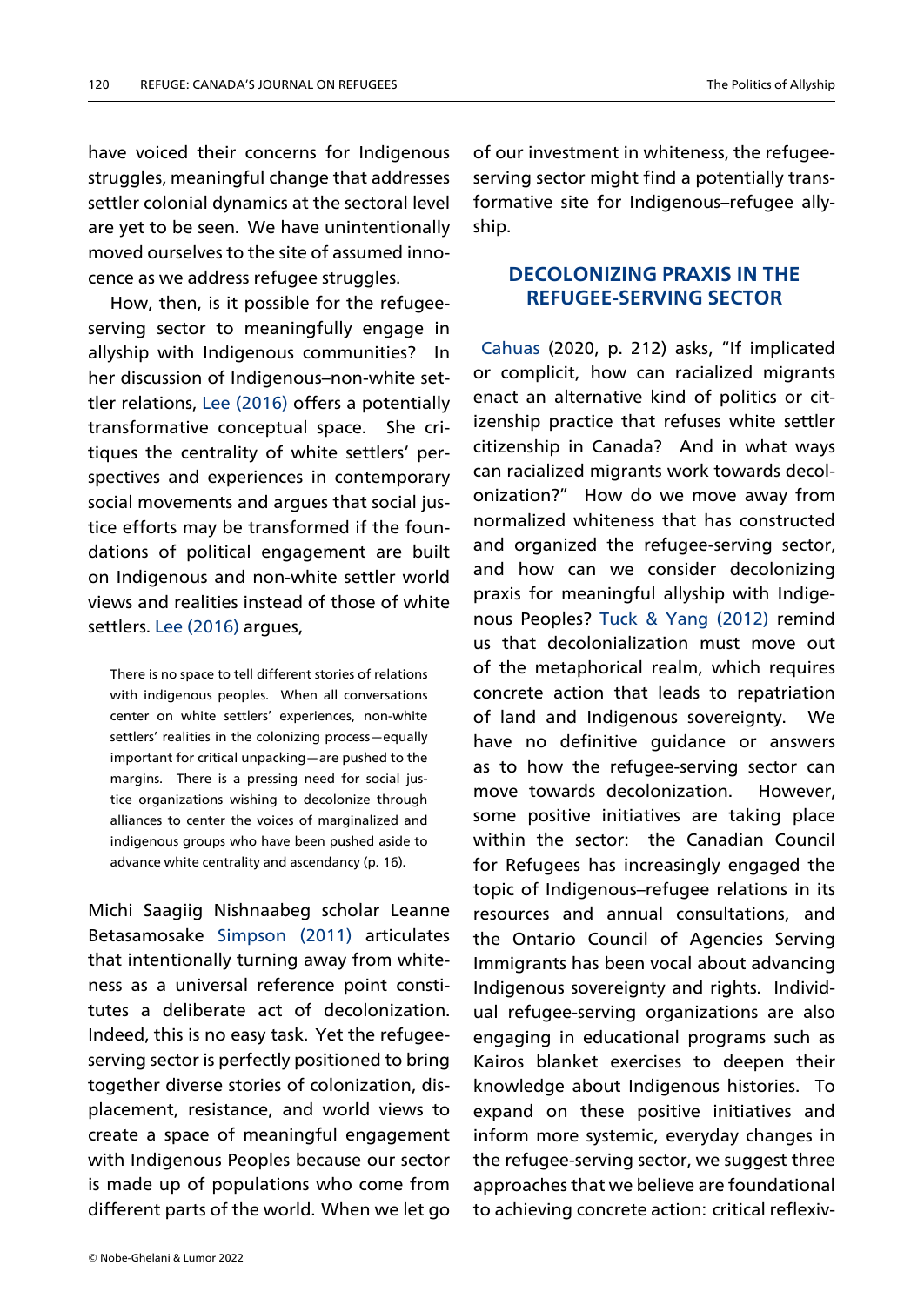have voiced their concerns for Indigenous struggles, meaningful change that addresses settler colonial dynamics at the sectoral level are yet to be seen. We have unintentionally moved ourselves to the site of assumed innocence as we address refugee struggles.

How, then, is it possible for the refugeeserving sector to meaningfully engage in allyship with Indigenous communities? In her discussion of Indigenous–non-white settler relations, Lee (2016) offers a potentially transformative conceptual space. She critiques the centrality of white settlers' perspectives and [experienc](#page-14-17)es in contemporary social movements and argues that social justice efforts may be transformed if the foundations of political engagement are built on Indigenous and non-white settler world views and realities instead of those of white settlers. Lee (2016) argues,

There is no space to tell different stories of relations with i[ndigenous peo](#page-14-17)ples. When all conversations center on white settlers' experiences, non-white settlers' realities in the colonizing process—equally important for critical unpacking—are pushed to the margins. There is a pressing need for social justice organizations wishing to decolonize through alliances to center the voices of marginalized and indigenous groups who have been pushed aside to advance white centrality and ascendancy (p. 16).

Michi Saagiig Nishnaabeg scholar Leanne Betasamosake Simpson (2011) articulates that intentionally turning away from whiteness as a universal reference point constitutes a delibe[rate act](#page-14-18) o[f dec](#page-14-18)olonization. Indeed, this is no easy task. Yet the refugeeserving sector is perfectly positioned to bring together diverse stories of colonization, displacement, resistance, and world views to create a space of meaningful engagement with Indigenous Peoples because our sector is made up of populations who come from different parts of the world. When we let go of our investment in whiteness, the refugeeserving sector might find a potentially transformative site for Indigenous–refugee allyship.

### **DECOLONIZING PRAXIS IN THE REFUGEE-SERVING SECTOR**

Cahuas (2020, p. 212) asks, "If implicated or complicit, how can racialized migrants enact an alternative kind of politics or citi[zenship](#page-13-2) practice that refuses white settler citizenship in Canada? And in what ways can racialized migrants work towards decolonization?" How do we move away from normalized whiteness that has constructed and organized the refugee-serving sector, and how can we consider decolonizing praxis for meaningful allyship with Indigenous Peoples? Tuck & Yang (2012) remind us that decolonialization must move out of the metaphorical realm, which requires concrete actio[n that leads](#page-14-16) t[o rep](#page-14-16)atriation of land and Indigenous sovereignty. We have no definitive guidance or answers as to how the refugee-serving sector can move towards decolonization. However, some positive initiatives are taking place within the sector: the Canadian Council for Refugees has increasingly engaged the topic of Indigenous–refugee relations in its resources and annual consultations, and the Ontario Council of Agencies Serving Immigrants has been vocal about advancing Indigenous sovereignty and rights. Individual refugee-serving organizations are also engaging in educational programs such as Kairos blanket exercises to deepen their knowledge about Indigenous histories. To expand on these positive initiatives and inform more systemic, everyday changes in the refugee-serving sector, we suggest three approaches that we believe are foundational to achieving concrete action: critical reflexiv-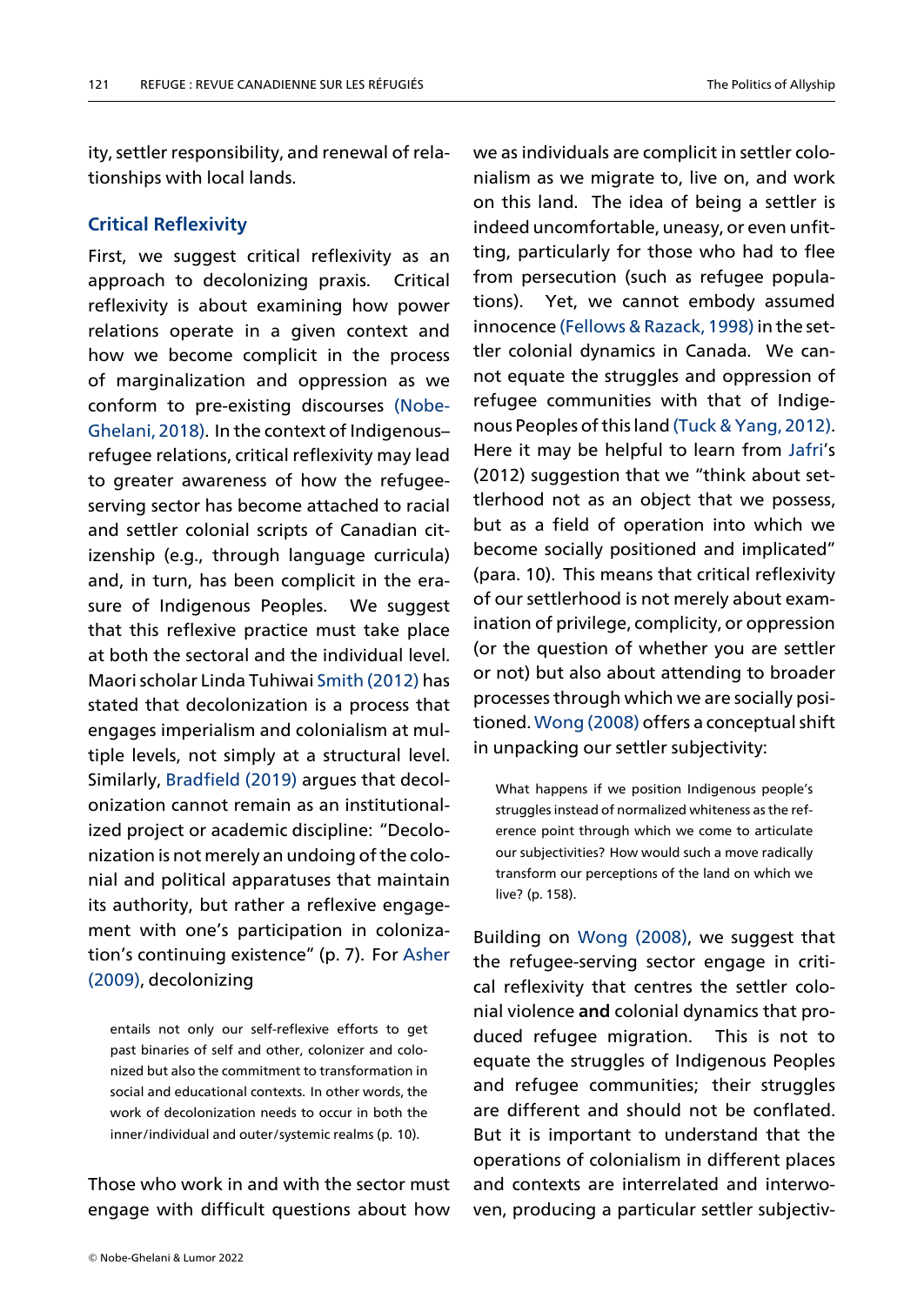ity, settler responsibility, and renewal of relationships with local lands.

# **Critical Reflexivity**

First, we suggest critical reflexivity as an approach to decolonizing praxis. Critical reflexivity is about examining how power relations operate in a given context and how we become complicit in the process of marginalization and oppression as we conform to pre-existing discourses (Nobe-Ghelani, 2018). In the context of Indigenous– refugee relations, critical reflexivity may lead to greater awareness of how the re[fugee](#page-14-19)[serving sector](#page-14-19) has become attached to racial and settler colonial scripts of Canadian citizenship (e.g., through language curricula) and, in turn, has been complicit in the erasure of Indigenous Peoples. We suggest that this reflexive practice must take place at both the sectoral and the individual level. Maori scholar Linda Tuhiwai Smith (2012) has stated that decolonization is a process that engages imperialism and colonialism at multiple levels, not simply at a [structural le](#page-14-20)vel. Similarly, Bradfield (2019) argues that decolonization cannot remain as an institutionalized project or academic discipline: "Decolonizationi[s not mere](#page-13-15)l[y an u](#page-13-15)ndoing of the colonial and political apparatuses that maintain its authority, but rather a reflexive engagement with one's participation in colonization's continuing existence" (p. 7). For Asher (2009), decolonizing

entails not only our self-reflexive efforts to [get](#page-13-16) [past](#page-13-16) binaries of self and other, colonizer and colonized but also the commitment to transformation in social and educational contexts. In other words, the work of decolonization needs to occur in both the inner/individual and outer/systemic realms (p. 10).

Those who work in and with the sector must engage with difficult questions about how

we as individuals are complicit in settler colonialism as we migrate to, live on, and work on this land. The idea of being a settler is indeed uncomfortable, uneasy, or even unfitting, particularly for those who had to flee from persecution (such as refugee populations). Yet, we cannot embody assumed innocence (Fellows & Razack, 1998) in the settler colonial dynamics in Canada. We cannot equate the struggles and oppression of refugee co[mmunities with that](#page-13-14) of Indigenous Peoples of this land (Tuck & Yang, 2012). Here it may be helpful to learn from Jafri's (2012) suggestion that we "think about settlerhood not as an obje[ct that we possess](#page-14-16), but as a field of operation into whi[ch w](#page-14-12)e become socially positioned and implicated" (para. 10). This means that critical reflexivity of our settlerhood is not merely about examination of privilege, complicity, or oppression (or the question of whether you are settler or not) but also about attending to broader processes through which we are socially positioned. Wong (2008) offers a conceptual shift in unpacking our settler subjectivity:

What [happens if we p](#page-14-21)osition Indigenous people's struggles instead of normalized whiteness as the reference point through which we come to articulate our subjectivities? How would such a move radically transform our perceptions of the land on which we live? (p. 158).

Building on Wong (2008), we suggest that the refugee-serving sector engage in critical reflexivity that centres the settler colonial violence **[and](#page-14-21)** col[onial](#page-14-21) dynamics that produced refugee migration. This is not to equate the struggles of Indigenous Peoples and refugee communities; their struggles are different and should not be conflated. But it is important to understand that the operations of colonialism in different places and contexts are interrelated and interwoven, producing a particular settler subjectiv-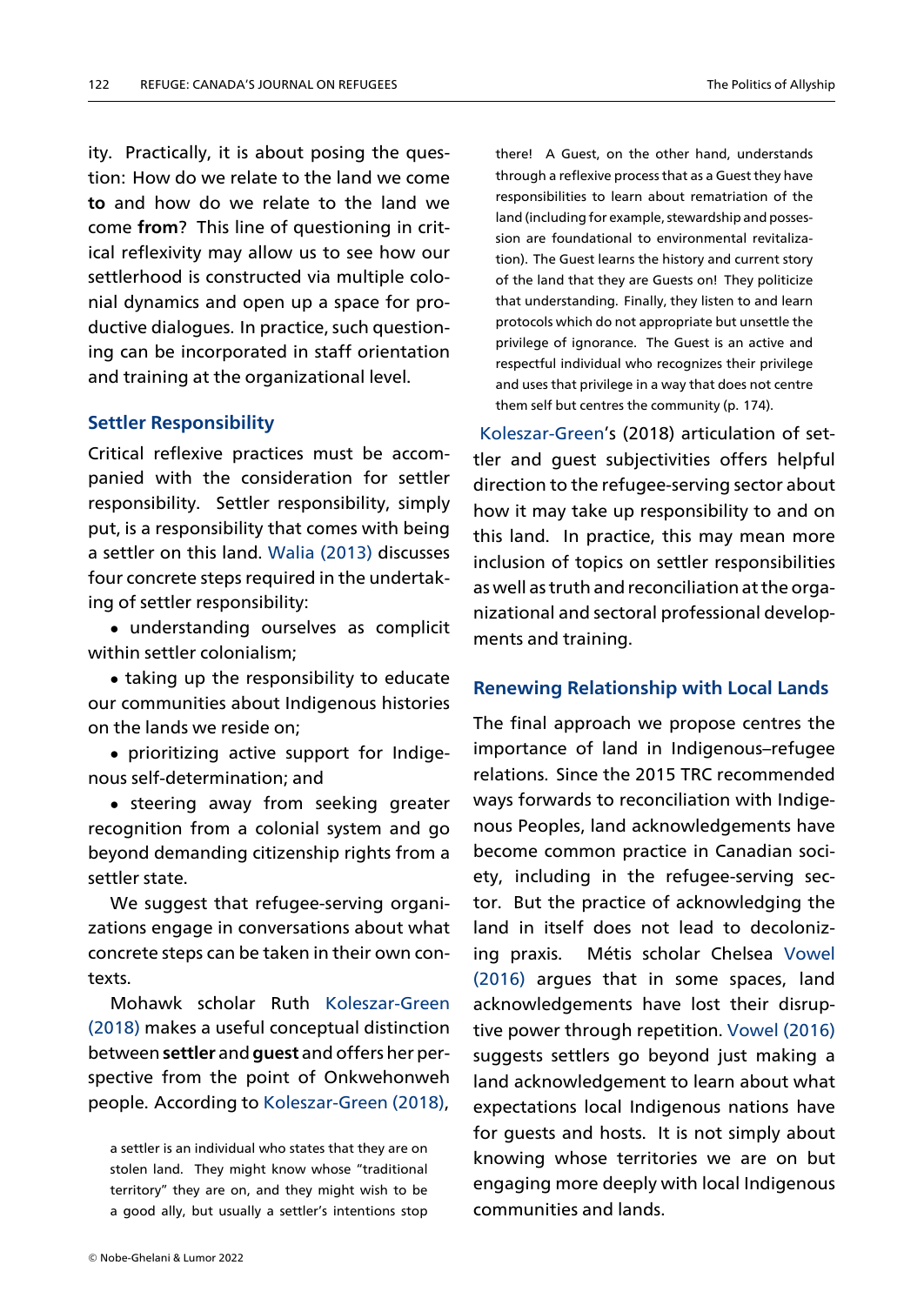ity. Practically, it is about posing the question: How do we relate to the land we come **to** and how do we relate to the land we come **from**? This line of questioning in critical reflexivity may allow us to see how our settlerhood is constructed via multiple colonial dynamics and open up a space for productive dialogues. In practice, such questioning can be incorporated in staff orientation and training at the organizational level.

# **Settler Responsibility**

Critical reflexive practices must be accompanied with the consideration for settler responsibility. Settler responsibility, simply put, is a responsibility that comes with being a settler on this land. Walia (2013) discusses four concrete steps required in the undertaking of settler responsibility:

*•* understanding [ourselves as](#page-14-22) complicit within settler colonialism;

*•* taking up the responsibility to educate our communities about Indigenous histories on the lands we reside on;

*•* prioritizing active support for Indigenous self-determination; and

*•* steering away from seeking greater recognition from a colonial system and go beyond demanding citizenship rights from a settler state.

We suggest that refugee-serving organizations engage in conversations about what concrete steps can be taken in their own contexts.

Mohawk scholar Ruth Koleszar-Green (2018) makes a useful conceptual distinction between **settler** and **guest** and offers her perspective from the point of [Onkwehonweh](#page-14-23) [people](#page-14-23). According to Koleszar-Green (2018),

a settler is an individual who states that they are on stolen land. They migh[t know whose "trad](#page-14-23)it[ional](#page-14-23) territory" they are on, and they might wish to be a good ally, but usually a settler's intentions stop

there! A Guest, on the other hand, understands through a reflexive process that as a Guest they have responsibilities to learn about rematriation of the land (including for example, stewardship and possession are foundational to environmental revitalization). The Guest learns the history and current story of the land that they are Guests on! They politicize that understanding. Finally, they listen to and learn protocols which do not appropriate but unsettle the privilege of ignorance. The Guest is an active and respectful individual who recognizes their privilege and uses that privilege in a way that does not centre them self but centres the community (p. 174).

Koleszar-Green's (2018) articulation of settler and guest subjectivities offers helpful direction to the refugee-serving sector about [how it may take](#page-14-23) up responsibility to and on this land. In practice, this may mean more inclusion of topics on settler responsibilities as well as truth and reconciliation at the organizational and sectoral professional developments and training.

### **Renewing Relationship with Local Lands**

The final approach we propose centres the importance of land in Indigenous–refugee relations. Since the 2015 TRC recommended ways forwards to reconciliation with Indigenous Peoples, land acknowledgements have become common practice in Canadian society, including in the refugee-serving sector. But the practice of acknowledging the land in itself does not lead to decolonizing praxis. Métis scholar Chelsea Vowel (2016) argues that in some spaces, land acknowledgements have lost their disruptive power through repetition. Vowel [\(2016\)](#page-14-24) [sugge](#page-14-24)sts settlers go beyond just making a land acknowledgement to learn about what expectations local Indigenous [nation](#page-14-24)s [have](#page-14-24) for guests and hosts. It is not simply about knowing whose territories we are on but engaging more deeply with local Indigenous communities and lands.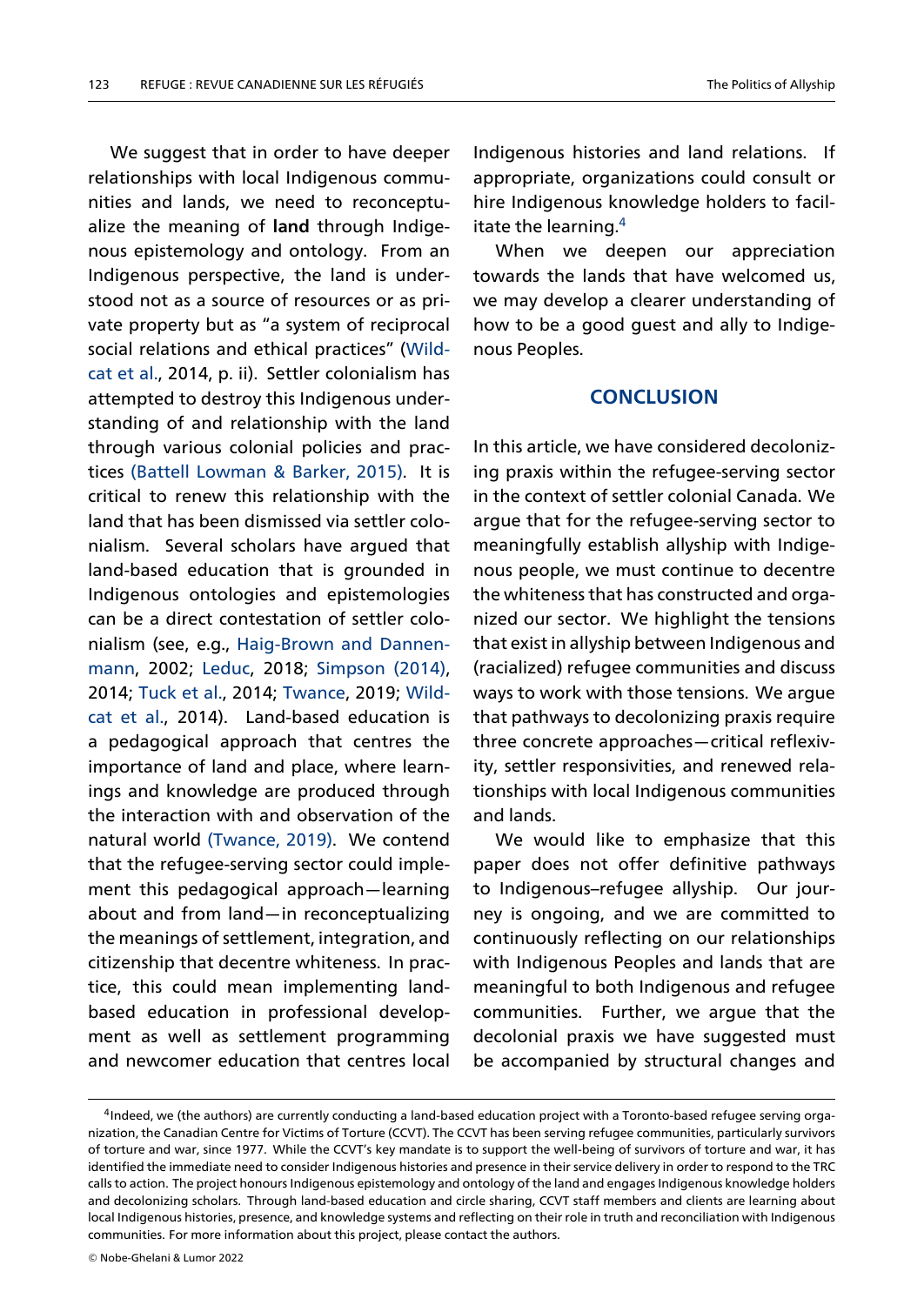We suggest that in order to have deeper relationships with local Indigenous communities and lands, we need to reconceptualize the meaning of **land** through Indigenous epistemology and ontology. From an Indigenous perspective, the land is understood not as a source of resources or as private property but as "a system of reciprocal social relations and ethical practices" (Wildcat et al., 2014, p. ii). Settler colonialism has attempted to destroy this Indigenous understanding of and relationship with th[e land](#page-14-25) [through](#page-14-25) various colonial policies and practices (Battell Lowman & Barker, 2015). It is critical to renew this relationship with the land that has been dismissed via settler colonialis[m. Several scholars have argue](#page-13-6)d that land-based education that is grounded in Indigenous ontologies and epistemologies can be a direct contestation of settler colonialism (see, e.g., Haig-Brown and Dannenmann, 2002; Leduc, 2018; Simpson (2014), 2014; Tuck et al., 2014; Twance, 2019; Wildcat et al., 2014). [Land-based education is](#page-13-17) [a ped](#page-13-17)agogic[al app](#page-14-26)roacht[hat cent](#page-14-2)r[es the](#page-14-2) impor[tance of la](#page-14-27)nd an[d place, w](#page-14-28)here [learn](#page-14-25)[ings and](#page-14-25) knowledge are produced through the interaction with and observation of the natural world (Twance, 2019). We contend that the refugee-serving sector could implement this pedagogical approach—learning about and fro[m land—](#page-14-28)i[n rec](#page-14-28)onceptualizing the meanings of settlement, integration, and citizenship that decentre whiteness. In practice, this could mean implementing landbased education in professional development as well as settlement programming and newcomer education that centres local

Indigenous histories and land relations. If appropriate, organizations could consult or hire Indigenous knowledge holders to facilitate the learning. $4$ 

When we deepen our appreciation towards the lands that have welcomed us, we may develop [a](#page-12-0) clearer understanding of how to be a good guest and ally to Indigenous Peoples.

#### **CONCLUSION**

In this article, we have considered decolonizing praxis within the refugee-serving sector in the context of settler colonial Canada. We argue that for the refugee-serving sector to meaningfully establish allyship with Indigenous people, we must continue to decentre the whiteness that has constructed and organized our sector. We highlight the tensions that exist in allyship between Indigenous and (racialized) refugee communities and discuss ways to work with those tensions. We argue that pathways to decolonizing praxis require three concrete approaches—critical reflexivity, settler responsivities, and renewed relationships with local Indigenous communities and lands.

We would like to emphasize that this paper does not offer definitive pathways to Indigenous–refugee allyship. Our journey is ongoing, and we are committed to continuously reflecting on our relationships with Indigenous Peoples and lands that are meaningful to both Indigenous and refugee communities. Further, we argue that the decolonial praxis we have suggested must be accompanied by structural changes and

<span id="page-12-0"></span><sup>4</sup> Indeed, we (the authors) are currently conducting a land-based education project with a Toronto-based refugee serving organization, the Canadian Centre for Victims of Torture (CCVT). The CCVT has been serving refugee communities, particularly survivors of torture and war, since 1977. While the CCVT's key mandate is to support the well-being of survivors of torture and war, it has identified the immediate need to consider Indigenous histories and presence in their service delivery in order to respond to the TRC calls to action. The project honours Indigenous epistemology and ontology of the land and engages Indigenous knowledge holders and decolonizing scholars. Through land-based education and circle sharing, CCVT staff members and clients are learning about local Indigenous histories, presence, and knowledge systems and reflecting on their role in truth and reconciliation with Indigenous communities. For more information about this project, please contact the authors.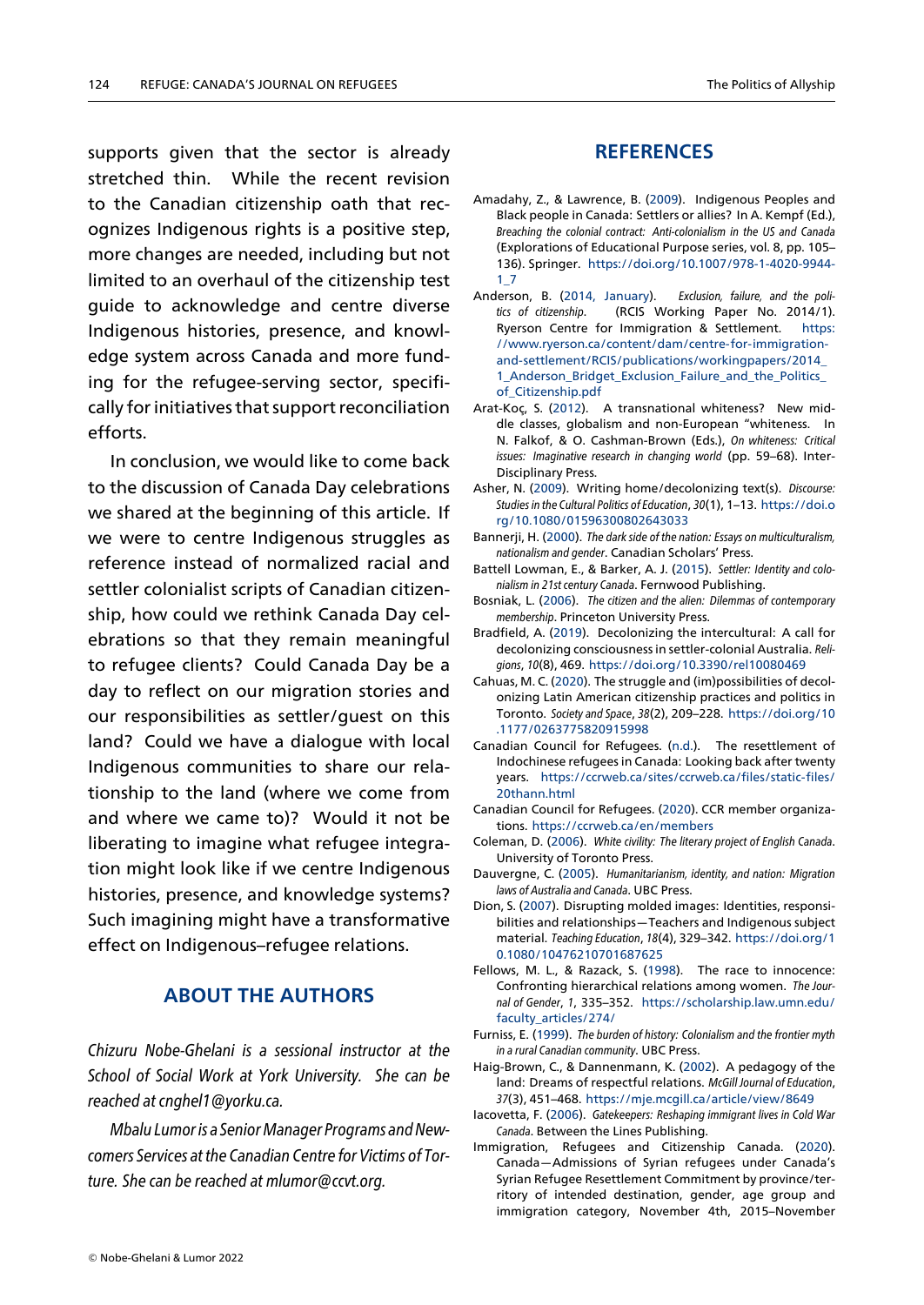supports given that the sector is already stretched thin. While the recent revision to the Canadian citizenship oath that recognizes Indigenous rights is a positive step, more changes are needed, including but not limited to an overhaul of the citizenship test guide to acknowledge and centre diverse Indigenous histories, presence, and knowledge system across Canada and more funding for the refugee-serving sector, specifically for initiatives that support reconciliation efforts.

In conclusion, we would like to come back to the discussion of Canada Day celebrations we shared at the beginning of this article. If we were to centre Indigenous struggles as reference instead of normalized racial and settler colonialist scripts of Canadian citizenship, how could we rethink Canada Day celebrations so that they remain meaningful to refugee clients? Could Canada Day be a day to reflect on our migration stories and our responsibilities as settler/guest on this land? Could we have a dialogue with local Indigenous communities to share our relationship to the land (where we come from and where we came to)? Would it not be liberating to imagine what refugee integration might look like if we centre Indigenous histories, presence, and knowledge systems? Such imagining might have a transformative effect on Indigenous–refugee relations.

### **ABOUT THE AUTHORS**

*Chizuru Nobe-Ghelani is a sessional instructor at the School of Social Work at York University. She can be reached at cnghel1@yorku.ca.*

*Mbalu Lumor is a Senior Manager Programs and Newcomers Services at the Canadian Centre for Victims of Torture. She can be reached at mlumor@ccvt.org.*

### **REFERENCES**

- Amadahy, Z., & Lawrence, B. (2009). Indigenous Peoples and Black people in Canada: Settlers or allies? In A. Kempf (Ed.), *Breaching the colonial contract: Anti-colonialism in the US and Canada* (Explorations of Educational Purpose series, vol. 8, pp. 105– 136). Springer. https://doi.org/10.1007/978-1-4020-9944-  $1<sub>-7</sub>$
- Anderson, B. (2014, January). *Exclusion, failure, and the politics of citizenship*. (RCIS Working Paper No. 2014/1). Ryerson Centre for Immigration & Settlement. https: //www.ryerson[.ca/content/dam/centre-for-immigration](https://doi.org/10.1007/978-1-4020-9944-1_7)[and](https://doi.org/10.1007/978-1-4020-9944-1_7)-settlement/RCIS/publications/workingpapers/2014\_ 1\_Anderson\_Bridget\_Exclusion\_Failure\_and\_the\_Politics\_ of\_Citizenship.pdf
- <span id="page-13-5"></span>Arat-Koç, S. (2012). A transnational whiteness? Ne[w mid](https://www.ryerson.ca/content/dam/centre-for-immigration-and-settlement/RCIS/publications/workingpapers/2014_1_Anderson_Bridget_Exclusion_Failure_and_the_Politics_of_Citizenship.pdf)[dle classes, globalism and non-European "whiteness. In](https://www.ryerson.ca/content/dam/centre-for-immigration-and-settlement/RCIS/publications/workingpapers/2014_1_Anderson_Bridget_Exclusion_Failure_and_the_Politics_of_Citizenship.pdf) [N. Falkof, & O. Cashman-Brown \(Eds.\),](https://www.ryerson.ca/content/dam/centre-for-immigration-and-settlement/RCIS/publications/workingpapers/2014_1_Anderson_Bridget_Exclusion_Failure_and_the_Politics_of_Citizenship.pdf) *On whiteness: Critical [issues: Imaginative research in changing world](https://www.ryerson.ca/content/dam/centre-for-immigration-and-settlement/RCIS/publications/workingpapers/2014_1_Anderson_Bridget_Exclusion_Failure_and_the_Politics_of_Citizenship.pdf)* (pp. 59–68). Inter-[Disciplinary Press.](https://www.ryerson.ca/content/dam/centre-for-immigration-and-settlement/RCIS/publications/workingpapers/2014_1_Anderson_Bridget_Exclusion_Failure_and_the_Politics_of_Citizenship.pdf)
- <span id="page-13-13"></span>Asher, N. (2009). Writing home/decolonizing text(s). *Discourse: Studies in the Cultural Politics of Education*, *30*(1), 1–13. https://doi.o rg/10.1080/01596300802643033
- Bannerji, H. (2000). *The dark side of the nation: Essays on multiculturalism, nationalism and gender*. Canadian Scholars' Press.
- <span id="page-13-16"></span>Battell Lowman, E., & Barker, A. J. (2015). *Settler: I[dentity and colo](https://doi.org/10.1080/01596300802643033)nialism in 21st century Canada*. Fernwood Publishing.
- <span id="page-13-9"></span>Bosniak, L. (2006). *[The citizen and the ali](https://doi.org/10.1080/01596300802643033)en: Dilemmas of contemporary membership*. Princeton University Press.
- <span id="page-13-6"></span>Bradfield, A. (2019). Decolonizing the intercultural: A call for decolonizing consciousness in settler-colonial Australia. *Religions*, *10*(8), 469. https://doi.org/10.3390/rel10080469
- <span id="page-13-15"></span><span id="page-13-4"></span>Cahuas, M. C. (2020). The struggle and (im)possibilities of decolonizing Latin American citizenship practices and politics in Toronto. *Society and Space*, *38*(2), 209–228. https://doi.org/10 .1177/0263775820915998
- <span id="page-13-2"></span>Canadian Councilf[or Refugees. \(n.d.\). The resettlemen](https://doi.org/10.3390/rel10080469)t of Indochinese refugees in Canada: Looking back after twenty years. https://ccrweb.ca/sites/ccrweb.c[a/files/static-files/](https://doi.org/10.1177/0263775820915998) 20thann.html
- <span id="page-13-10"></span>Can[adian Council for Refugees](https://doi.org/10.1177/0263775820915998). (2020). CCR member organizations. https://ccrweb.ca/en/members
- Coleman, D. (2006). *White civility: The literary project of English Canada*. Univers[ity of Toronto Press.](https://ccrweb.ca/sites/ccrweb.ca/files/static-files/20thann.html)
- <span id="page-13-0"></span>Da[uvergne, C. \(20](https://ccrweb.ca/sites/ccrweb.ca/files/static-files/20thann.html)05). *Humanitarianism, identity, and nation: Migration laws of Australia and Canada*. UBC Press.
- <span id="page-13-7"></span>Dion, S. (2[007\). Disrupting molded images](https://ccrweb.ca/en/members): Identities, responsibilities and relationships—Teachers and Indigenous subject material. *Teaching Education*, *18*(4), 329–342. https://doi.org/1 0.1080/10476210701687625
- <span id="page-13-12"></span><span id="page-13-3"></span>Fellows, M. L., & Razack, S. (1998). The race to innocence: Confronting hierarchical relations among women. *The Journal of Gender*, *1*, 335–352. https://scholars[hip.law.umn.edu/](https://doi.org/10.1080/10476210701687625) faculty\_articles/274/
- <span id="page-13-14"></span>Furniss, E. (1999). *[The burden of histo](https://doi.org/10.1080/10476210701687625)ry: Colonialism and the frontier myth in a rural Canadian community*. UBC Press.
- Haig-Brown, C., & Dannenmann, K. (2002). A pedagogy of the land: Dreams of respectful relations. *[McGill Journal of Education](https://scholarship.law.umn.edu/faculty_articles/274/)*, *37*[\(3\), 451–468.](https://scholarship.law.umn.edu/faculty_articles/274/) https://mje.mcgill.ca/article/view/8649
- <span id="page-13-8"></span>Iacovetta, F. (2006). *Gatekeepers: Reshaping immigrant lives in Cold War Canada*. Between the Lines Publishing.
- <span id="page-13-17"></span><span id="page-13-11"></span><span id="page-13-1"></span>Immigration, Refugees and Citizenship Canada. (2020). Canada—Admissions of Syrian refugees under Canada's Syrian Refugee [Resettlement Commitment by province/](https://mje.mcgill.ca/article/view/8649)territory of intended destination, gender, age group and immigration category, November 4th, 2015–November